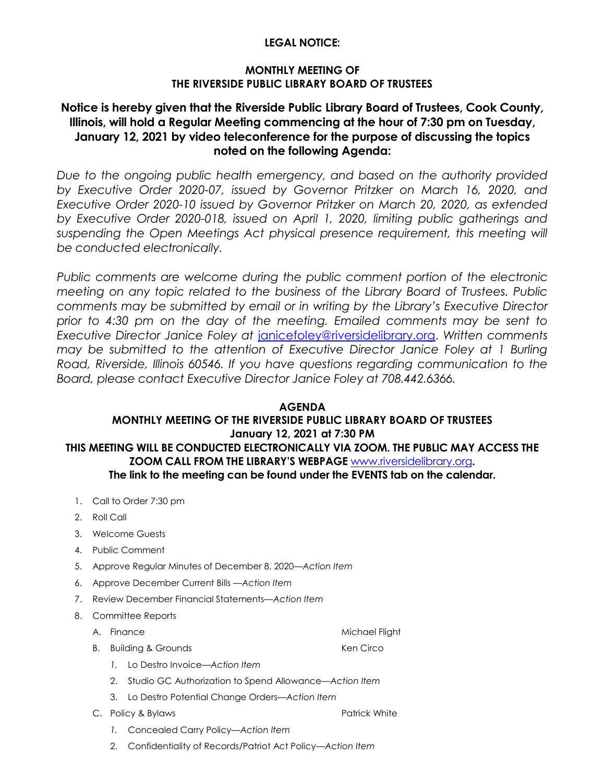#### **LEGAL NOTICE:**

#### **MONTHLY MEETING OF THE RIVERSIDE PUBLIC LIBRARY BOARD OF TRUSTEES**

# **Notice is hereby given that the Riverside Public Library Board of Trustees, Cook County, Illinois, will hold a Regular Meeting commencing at the hour of 7:30 pm on Tuesday, January 12, 2021 by video teleconference for the purpose of discussing the topics noted on the following Agenda:**

*Due to the ongoing public health emergency, and based on the authority provided by Executive Order 2020-07, issued by Governor Pritzker on March 16, 2020, and Executive Order 2020-10 issued by Governor Pritzker on March 20, 2020, as extended by Executive Order 2020-018, issued on April 1, 2020, limiting public gatherings and*  suspending the Open Meetings Act physical presence requirement, this meeting will *be conducted electronically.* 

Public comments are welcome during the public comment portion of the electronic *meeting on any topic related to the business of the Library Board of Trustees. Public comments may be submitted by email or in writing by the Library's Executive Director prior to 4:30 pm on the day of the meeting. Emailed comments may be sent to Executive Director Janice Foley at* [janicefoley@riversidelibrary.org.](mailto:janicefoley@riversidelibrary.org) *Written comments may be submitted to the attention of Executive Director Janice Foley at 1 Burling Road, Riverside, Illinois 60546. If you have questions regarding communication to the Board, please contact Executive Director Janice Foley at 708.442.6366.* 

#### **AGENDA**

# **MONTHLY MEETING OF THE RIVERSIDE PUBLIC LIBRARY BOARD OF TRUSTEES January 12, 2021 at 7:30 PM THIS MEETING WILL BE CONDUCTED ELECTRONICALLY VIA ZOOM. THE PUBLIC MAY ACCESS THE ZOOM CALL FROM THE LIBRARY'S WEBPAGE** [www.riversidelibrary.org](http://www.riversidelibrary.org/)**. The link to the meeting can be found under the EVENTS tab on the calendar.**

- 1. Call to Order 7:30 pm
- 2. Roll Call
- 3. Welcome Guests
- 4. Public Comment
- 5. Approve Regular Minutes of December 8, 2020*—Action Item*
- 6. Approve December Current Bills —*Action Item*
- 7. Review December Financial Statements—*Action Item*
- 8. Committee Reports
	- A. Finance Michael Flight
	- B. Building & Grounds **Ken Circo** 
		- *1.* Lo Destro Invoice—*Action Item*
		- 2. Studio GC Authorization to Spend Allowance—*Action Item*
		- 3. Lo Destro Potential Change Orders—*Action Item*
	- C. Policy & Bylaws Patrick White
		- *1.* Concealed Carry Policy—*Action Item*
		- 2. Confidentiality of Records/Patriot Act Policy*—Action Item*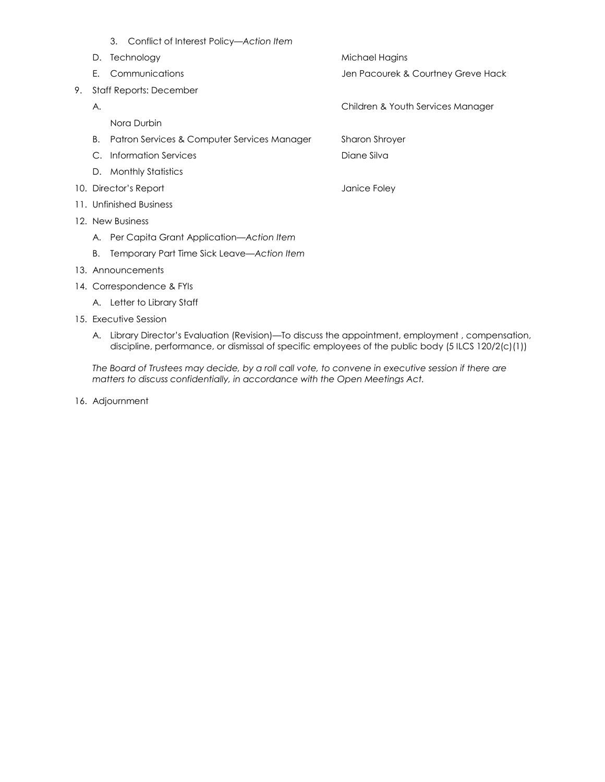- 3. Conflict of Interest Policy*—Action Item* D. Technology and the matter of the Michael Hagins E. Communications Jen Pacourek & Courtney Greve Hack 9. Staff Reports: December A. Children & Youth Services Manager Nora Durbin B. Patron Services & Computer Services Manager Sharon Shroyer C. Information Services Diane Silva D. Monthly Statistics 10. Director's Report and Table 10. Director's Report 11. Unfinished Business 12. New Business A. Per Capita Grant Application—*Action Item* B. Temporary Part Time Sick Leave—*Action Item* 13. Announcements
- 14. Correspondence & FYIs A. Letter to Library Staff
- 15. Executive Session
	- A. Library Director's Evaluation (Revision)—To discuss the appointment, employment , compensation, discipline, performance, or dismissal of specific employees of the public body (5 ILCS 120/2(c)(1))

*The Board of Trustees may decide, by a roll call vote, to convene in executive session if there are matters to discuss confidentially, in accordance with the Open Meetings Act.*

16. Adjournment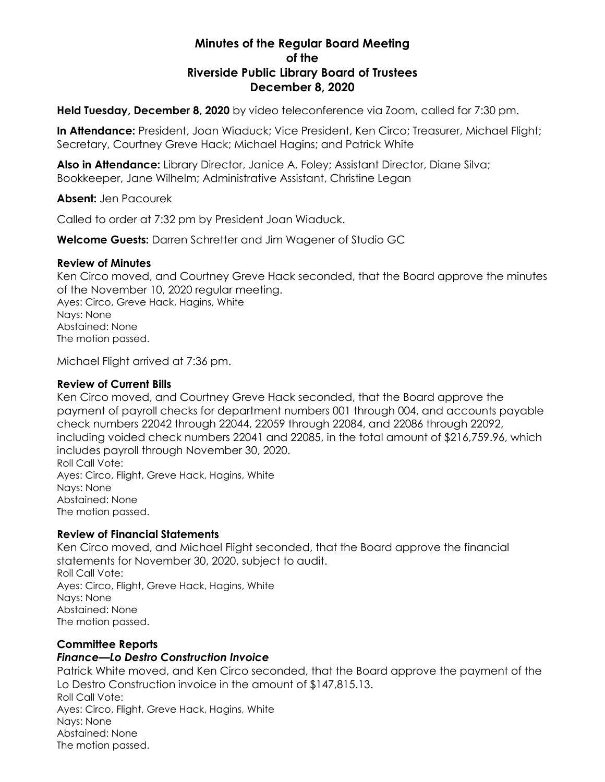# **Minutes of the Regular Board Meeting of the Riverside Public Library Board of Trustees December 8, 2020**

**Held Tuesday, December 8, 2020** by video teleconference via Zoom, called for 7:30 pm.

**In Attendance:** President, Joan Wiaduck; Vice President, Ken Circo; Treasurer, Michael Flight; Secretary, Courtney Greve Hack; Michael Hagins; and Patrick White

**Also in Attendance:** Library Director, Janice A. Foley; Assistant Director, Diane Silva; Bookkeeper, Jane Wilhelm; Administrative Assistant, Christine Legan

**Absent:** Jen Pacourek

Called to order at 7:32 pm by President Joan Wiaduck.

**Welcome Guests:** Darren Schretter and Jim Wagener of Studio GC

#### **Review of Minutes**

Ken Circo moved, and Courtney Greve Hack seconded, that the Board approve the minutes of the November 10, 2020 regular meeting. Ayes: Circo, Greve Hack, Hagins, White Nays: None Abstained: None The motion passed.

Michael Flight arrived at 7:36 pm.

#### **Review of Current Bills**

Ken Circo moved, and Courtney Greve Hack seconded, that the Board approve the payment of payroll checks for department numbers 001 through 004, and accounts payable check numbers 22042 through 22044, 22059 through 22084, and 22086 through 22092, including voided check numbers 22041 and 22085, in the total amount of \$216,759.96, which includes payroll through November 30, 2020. Roll Call Vote: Ayes: Circo, Flight, Greve Hack, Hagins, White Nays: None Abstained: None The motion passed.

## **Review of Financial Statements**

Ken Circo moved, and Michael Flight seconded, that the Board approve the financial statements for November 30, 2020, subject to audit. Roll Call Vote: Ayes: Circo, Flight, Greve Hack, Hagins, White Nays: None Abstained: None The motion passed.

## **Committee Reports**

## *Finance—Lo Destro Construction Invoice*

Patrick White moved, and Ken Circo seconded, that the Board approve the payment of the Lo Destro Construction invoice in the amount of \$147,815.13. Roll Call Vote: Ayes: Circo, Flight, Greve Hack, Hagins, White Nays: None Abstained: None The motion passed.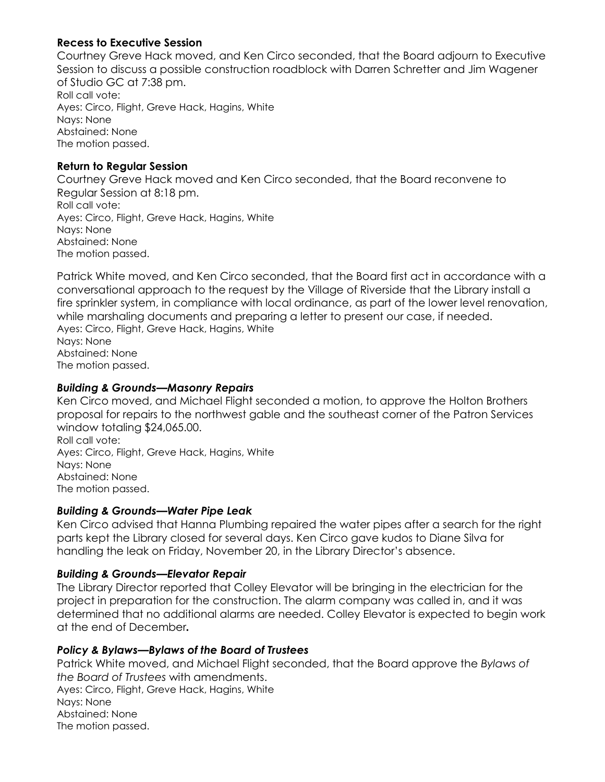# **Recess to Executive Session**

Courtney Greve Hack moved, and Ken Circo seconded, that the Board adjourn to Executive Session to discuss a possible construction roadblock with Darren Schretter and Jim Wagener of Studio GC at 7:38 pm. Roll call vote: Ayes: Circo, Flight, Greve Hack, Hagins, White Nays: None Abstained: None The motion passed.

## **Return to Regular Session**

Courtney Greve Hack moved and Ken Circo seconded, that the Board reconvene to Regular Session at 8:18 pm. Roll call vote: Ayes: Circo, Flight, Greve Hack, Hagins, White Nays: None Abstained: None The motion passed.

Patrick White moved, and Ken Circo seconded, that the Board first act in accordance with a conversational approach to the request by the Village of Riverside that the Library install a fire sprinkler system, in compliance with local ordinance, as part of the lower level renovation, while marshaling documents and preparing a letter to present our case, if needed. Ayes: Circo, Flight, Greve Hack, Hagins, White Nays: None Abstained: None The motion passed.

## *Building & Grounds—Masonry Repairs*

Ken Circo moved, and Michael Flight seconded a motion, to approve the Holton Brothers proposal for repairs to the northwest gable and the southeast corner of the Patron Services window totaling \$24,065.00. Roll call vote: Ayes: Circo, Flight, Greve Hack, Hagins, White Nays: None Abstained: None

The motion passed.

## *Building & Grounds—Water Pipe Leak*

Ken Circo advised that Hanna Plumbing repaired the water pipes after a search for the right parts kept the Library closed for several days. Ken Circo gave kudos to Diane Silva for handling the leak on Friday, November 20, in the Library Director's absence.

## *Building & Grounds—Elevator Repair*

The Library Director reported that Colley Elevator will be bringing in the electrician for the project in preparation for the construction. The alarm company was called in, and it was determined that no additional alarms are needed. Colley Elevator is expected to begin work at the end of December*.*

## *Policy & Bylaws—Bylaws of the Board of Trustees*

Patrick White moved, and Michael Flight seconded, that the Board approve the *Bylaws of the Board of Trustees* with amendments. Ayes: Circo, Flight, Greve Hack, Hagins, White Nays: None Abstained: None The motion passed.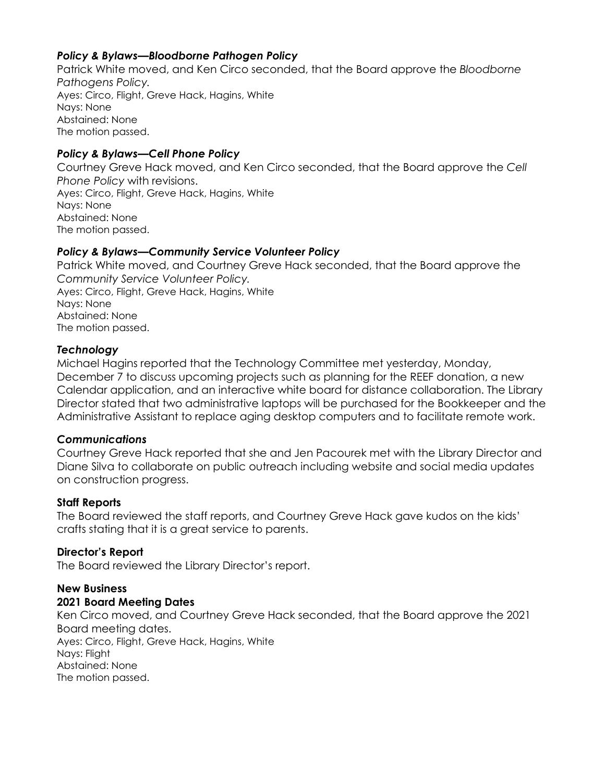## *Policy & Bylaws—Bloodborne Pathogen Policy*

Patrick White moved, and Ken Circo seconded, that the Board approve the *Bloodborne Pathogens Policy.* Ayes: Circo, Flight, Greve Hack, Hagins, White Nays: None Abstained: None The motion passed.

#### *Policy & Bylaws—Cell Phone Policy*

Courtney Greve Hack moved, and Ken Circo seconded, that the Board approve the *Cell Phone Policy* with revisions. Ayes: Circo, Flight, Greve Hack, Hagins, White Nays: None Abstained: None The motion passed.

#### *Policy & Bylaws—Community Service Volunteer Policy*

Patrick White moved, and Courtney Greve Hack seconded, that the Board approve the *Community Service Volunteer Policy.* Ayes: Circo, Flight, Greve Hack, Hagins, White Nays: None Abstained: None The motion passed.

#### *Technology*

Michael Hagins reported that the Technology Committee met yesterday, Monday, December 7 to discuss upcoming projects such as planning for the REEF donation, a new Calendar application, and an interactive white board for distance collaboration. The Library Director stated that two administrative laptops will be purchased for the Bookkeeper and the Administrative Assistant to replace aging desktop computers and to facilitate remote work.

#### *Communications*

Courtney Greve Hack reported that she and Jen Pacourek met with the Library Director and Diane Silva to collaborate on public outreach including website and social media updates on construction progress.

#### **Staff Reports**

The Board reviewed the staff reports, and Courtney Greve Hack gave kudos on the kids' crafts stating that it is a great service to parents.

#### **Director's Report**

The Board reviewed the Library Director's report.

# **New Business**

## **2021 Board Meeting Dates**

Ken Circo moved, and Courtney Greve Hack seconded, that the Board approve the 2021 Board meeting dates.

Ayes: Circo, Flight, Greve Hack, Hagins, White Nays: Flight Abstained: None The motion passed.